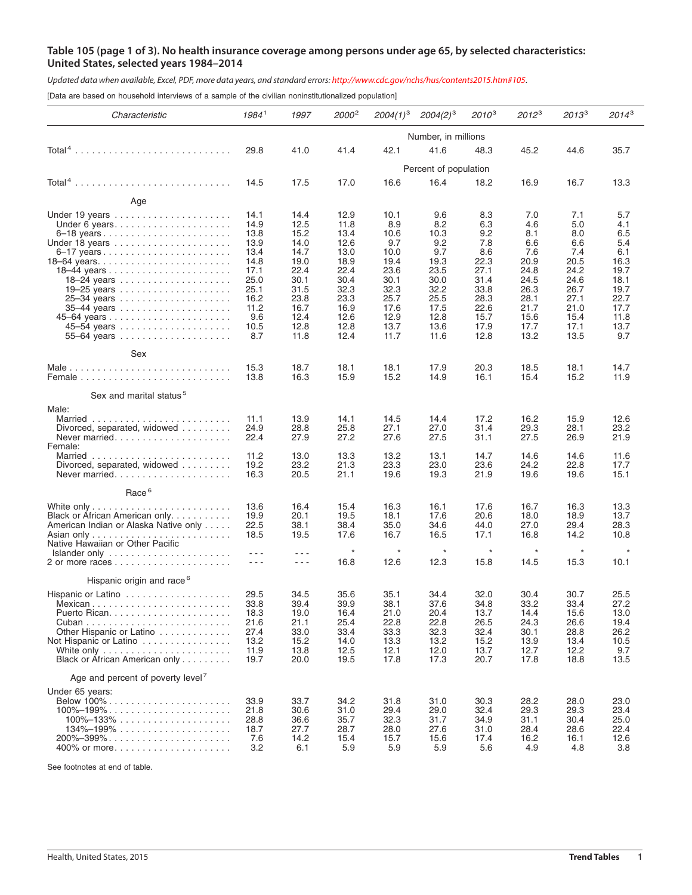## Table 105 (page 1 of 3). No health insurance coverage among persons under age 65, by selected characteristics: **United States, selected years 1984–2014**

Updated data when available, Excel, PDF, more data years, and standard errors: http://www.cdc.gov/nchs/hus/contents2015.htm#105.

[Data are based on household interviews of a sample of the civilian noninstitutionalized population]

| Characteristic                                                                                                                                                                                                                                                                             | 1984 <sup>1</sup>                                                                                          | 1997                                                                                                                                                                                                                                                                                                                                                                                                                                  | 2000 <sup>2</sup>                                                                                            | $2004(1)^3$                                                                                                | $2004(2)^3$                                                                                              | $2010^{3}$                                                                                              | $2012^3$                                                                                                | $2013^3$                                                                                                | $2014^3$                                                                                               |  |  |
|--------------------------------------------------------------------------------------------------------------------------------------------------------------------------------------------------------------------------------------------------------------------------------------------|------------------------------------------------------------------------------------------------------------|---------------------------------------------------------------------------------------------------------------------------------------------------------------------------------------------------------------------------------------------------------------------------------------------------------------------------------------------------------------------------------------------------------------------------------------|--------------------------------------------------------------------------------------------------------------|------------------------------------------------------------------------------------------------------------|----------------------------------------------------------------------------------------------------------|---------------------------------------------------------------------------------------------------------|---------------------------------------------------------------------------------------------------------|---------------------------------------------------------------------------------------------------------|--------------------------------------------------------------------------------------------------------|--|--|
|                                                                                                                                                                                                                                                                                            | Number, in millions                                                                                        |                                                                                                                                                                                                                                                                                                                                                                                                                                       |                                                                                                              |                                                                                                            |                                                                                                          |                                                                                                         |                                                                                                         |                                                                                                         |                                                                                                        |  |  |
|                                                                                                                                                                                                                                                                                            | 29.8                                                                                                       | 41.0                                                                                                                                                                                                                                                                                                                                                                                                                                  | 41.4                                                                                                         | 42.1                                                                                                       | 41.6                                                                                                     | 48.3                                                                                                    | 45.2                                                                                                    | 44.6                                                                                                    | 35.7                                                                                                   |  |  |
|                                                                                                                                                                                                                                                                                            | Percent of population                                                                                      |                                                                                                                                                                                                                                                                                                                                                                                                                                       |                                                                                                              |                                                                                                            |                                                                                                          |                                                                                                         |                                                                                                         |                                                                                                         |                                                                                                        |  |  |
| $Total4$                                                                                                                                                                                                                                                                                   | 14.5                                                                                                       | 17.5                                                                                                                                                                                                                                                                                                                                                                                                                                  | 17.0                                                                                                         | 16.6                                                                                                       | 16.4                                                                                                     | 18.2                                                                                                    | 16.9                                                                                                    | 16.7                                                                                                    | 13.3                                                                                                   |  |  |
| Age                                                                                                                                                                                                                                                                                        |                                                                                                            |                                                                                                                                                                                                                                                                                                                                                                                                                                       |                                                                                                              |                                                                                                            |                                                                                                          |                                                                                                         |                                                                                                         |                                                                                                         |                                                                                                        |  |  |
| Under 6 years<br>Under 18 years                                                                                                                                                                                                                                                            | 14.1<br>14.9<br>13.8<br>13.9<br>13.4<br>14.8<br>17.1<br>25.0<br>25.1<br>16.2<br>11.2<br>9.6<br>10.5<br>8.7 | 14.4<br>12.5<br>15.2<br>14.0<br>14.7<br>19.0<br>22.4<br>30.1<br>31.5<br>23.8<br>16.7<br>12.4<br>12.8<br>11.8                                                                                                                                                                                                                                                                                                                          | 12.9<br>11.8<br>13.4<br>12.6<br>13.0<br>18.9<br>22.4<br>30.4<br>32.3<br>23.3<br>16.9<br>12.6<br>12.8<br>12.4 | 10.1<br>8.9<br>10.6<br>9.7<br>10.0<br>19.4<br>23.6<br>30.1<br>32.3<br>25.7<br>17.6<br>12.9<br>13.7<br>11.7 | 9.6<br>8.2<br>10.3<br>9.2<br>9.7<br>19.3<br>23.5<br>30.0<br>32.2<br>25.5<br>17.5<br>12.8<br>13.6<br>11.6 | 8.3<br>6.3<br>9.2<br>7.8<br>8.6<br>22.3<br>27.1<br>31.4<br>33.8<br>28.3<br>22.6<br>15.7<br>17.9<br>12.8 | 7.0<br>4.6<br>8.1<br>6.6<br>7.6<br>20.9<br>24.8<br>24.5<br>26.3<br>28.1<br>21.7<br>15.6<br>17.7<br>13.2 | 7.1<br>5.0<br>8.0<br>6.6<br>7.4<br>20.5<br>24.2<br>24.6<br>26.7<br>27.1<br>21.0<br>15.4<br>17.1<br>13.5 | 5.7<br>4.1<br>6.5<br>5.4<br>6.1<br>16.3<br>19.7<br>18.1<br>19.7<br>22.7<br>17.7<br>11.8<br>13.7<br>9.7 |  |  |
| Sex                                                                                                                                                                                                                                                                                        | 15.3<br>13.8                                                                                               | 18.7<br>16.3                                                                                                                                                                                                                                                                                                                                                                                                                          | 18.1<br>15.9                                                                                                 | 18.1<br>15.2                                                                                               | 17.9<br>14.9                                                                                             | 20.3<br>16.1                                                                                            | 18.5<br>15.4                                                                                            | 18.1<br>15.2                                                                                            | 14.7<br>11.9                                                                                           |  |  |
| Sex and marital status <sup>5</sup>                                                                                                                                                                                                                                                        |                                                                                                            |                                                                                                                                                                                                                                                                                                                                                                                                                                       |                                                                                                              |                                                                                                            |                                                                                                          |                                                                                                         |                                                                                                         |                                                                                                         |                                                                                                        |  |  |
| Male:<br>Divorced, separated, widowed<br>Never married<br>Female:<br>Divorced, separated, widowed                                                                                                                                                                                          | 11.1<br>24.9<br>22.4<br>11.2<br>19.2<br>16.3                                                               | 13.9<br>28.8<br>27.9<br>13.0<br>23.2<br>20.5                                                                                                                                                                                                                                                                                                                                                                                          | 14.1<br>25.8<br>27.2<br>13.3<br>21.3<br>21.1                                                                 | 14.5<br>27.1<br>27.6<br>13.2<br>23.3<br>19.6                                                               | 14.4<br>27.0<br>27.5<br>13.1<br>23.0<br>19.3                                                             | 17.2<br>31.4<br>31.1<br>14.7<br>23.6<br>21.9                                                            | 16.2<br>29.3<br>27.5<br>14.6<br>24.2<br>19.6                                                            | 15.9<br>28.1<br>26.9<br>14.6<br>22.8<br>19.6                                                            | 12.6<br>23.2<br>21.9<br>11.6<br>17.7<br>15.1                                                           |  |  |
| Race <sup>6</sup>                                                                                                                                                                                                                                                                          |                                                                                                            |                                                                                                                                                                                                                                                                                                                                                                                                                                       |                                                                                                              |                                                                                                            |                                                                                                          |                                                                                                         |                                                                                                         |                                                                                                         |                                                                                                        |  |  |
| Black or African American only<br>American Indian or Alaska Native only<br>Native Hawaiian or Other Pacific<br>$Islander only \ldots \ldots \ldots \ldots \ldots \ldots \ldots$                                                                                                            | 13.6<br>19.9<br>22.5<br>18.5<br>- - -<br>$- - -$                                                           | 16.4<br>20.1<br>38.1<br>19.5<br>- - -<br>$\frac{1}{2} \frac{1}{2} \frac{1}{2} \frac{1}{2} \frac{1}{2} \frac{1}{2} \frac{1}{2} \frac{1}{2} \frac{1}{2} \frac{1}{2} \frac{1}{2} \frac{1}{2} \frac{1}{2} \frac{1}{2} \frac{1}{2} \frac{1}{2} \frac{1}{2} \frac{1}{2} \frac{1}{2} \frac{1}{2} \frac{1}{2} \frac{1}{2} \frac{1}{2} \frac{1}{2} \frac{1}{2} \frac{1}{2} \frac{1}{2} \frac{1}{2} \frac{1}{2} \frac{1}{2} \frac{1}{2} \frac{$ | 15.4<br>19.5<br>38.4<br>17.6<br>$\star$<br>16.8                                                              | 16.3<br>18.1<br>35.0<br>16.7<br>$^\star$<br>12.6                                                           | 16.1<br>17.6<br>34.6<br>16.5<br>$\star$<br>12.3                                                          | 17.6<br>20.6<br>44.0<br>17.1<br>$\star$<br>15.8                                                         | 16.7<br>18.0<br>27.0<br>16.8<br>$\star$<br>14.5                                                         | 16.3<br>18.9<br>29.4<br>14.2<br>$^\star$<br>15.3                                                        | 13.3<br>13.7<br>28.3<br>10.8<br>10.1                                                                   |  |  |
| Hispanic origin and race <sup>6</sup>                                                                                                                                                                                                                                                      |                                                                                                            |                                                                                                                                                                                                                                                                                                                                                                                                                                       |                                                                                                              |                                                                                                            |                                                                                                          |                                                                                                         |                                                                                                         |                                                                                                         |                                                                                                        |  |  |
| Mexican<br>Other Hispanic or Latino<br>Not Hispanic or Latino<br>White only $\ldots \ldots \ldots \ldots \ldots \ldots \ldots$<br>Black or African American only                                                                                                                           | 29.5<br>33.8<br>18.3<br>21.6<br>27.4<br>13.2<br>11.9<br>19.7                                               | 34.5<br>39.4<br>19.0<br>21.1<br>33.0<br>15.2<br>13.8<br>20.0                                                                                                                                                                                                                                                                                                                                                                          | 35.6<br>39.9<br>16.4<br>25.4<br>33.4<br>14.0<br>12.5<br>19.5                                                 | 35.1<br>38.1<br>21.0<br>22.8<br>33.3<br>13.3<br>12.1<br>17.8                                               | 34.4<br>37.6<br>20.4<br>22.8<br>32.3<br>13.2<br>12.0<br>17.3                                             | 32.0<br>34.8<br>13.7<br>26.5<br>32.4<br>15.2<br>13.7<br>20.7                                            | 30.4<br>33.2<br>14.4<br>24.3<br>30.1<br>13.9<br>12.7<br>17.8                                            | 30.7<br>33.4<br>15.6<br>26.6<br>28.8<br>13.4<br>12.2<br>18.8                                            | 25.5<br>27.2<br>13.0<br>19.4<br>26.2<br>10.5<br>9.7<br>13.5                                            |  |  |
| Age and percent of poverty level <sup>7</sup>                                                                                                                                                                                                                                              |                                                                                                            |                                                                                                                                                                                                                                                                                                                                                                                                                                       |                                                                                                              |                                                                                                            |                                                                                                          |                                                                                                         |                                                                                                         |                                                                                                         |                                                                                                        |  |  |
| Under 65 years:<br>Below 100%<br>$100\% - 199\% \ldots \ldots \ldots \ldots \ldots \ldots \ldots \ldots$<br>$100\% - 133\%$<br>$134\% - 199\% \ldots \ldots \ldots \ldots \ldots \ldots \ldots$<br>$200\% - 399\% \ldots \ldots \ldots \ldots \ldots \ldots \ldots \ldots$<br>400% or more | 33.9<br>21.8<br>28.8<br>18.7<br>7.6<br>3.2                                                                 | 33.7<br>30.6<br>36.6<br>27.7<br>14.2<br>6.1                                                                                                                                                                                                                                                                                                                                                                                           | 34.2<br>31.0<br>35.7<br>28.7<br>15.4<br>5.9                                                                  | 31.8<br>29.4<br>32.3<br>28.0<br>15.7<br>5.9                                                                | 31.0<br>29.0<br>31.7<br>27.6<br>15.6<br>5.9                                                              | 30.3<br>32.4<br>34.9<br>31.0<br>17.4<br>5.6                                                             | 28.2<br>29.3<br>31.1<br>28.4<br>16.2<br>4.9                                                             | 28.0<br>29.3<br>30.4<br>28.6<br>16.1<br>4.8                                                             | 23.0<br>23.4<br>25.0<br>22.4<br>12.6<br>3.8                                                            |  |  |

See footnotes at end of table.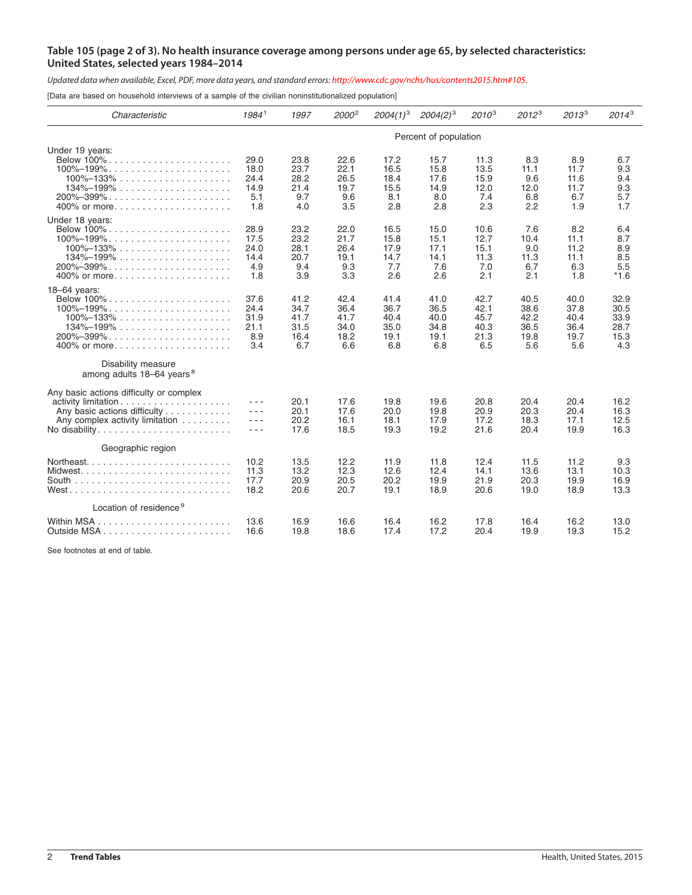## Table 105 (page 2 of 3). No health insurance coverage among persons under age 65, by selected characteristics: **United States, selected years 1984–2014**

Updated data when available, Excel, PDF, more data years, and standard errors: http://www.cdc.gov/nchs/hus/contents2015.htm#105.

[Data are based on household interviews of a sample of the civilian noninstitutionalized population]

| Characteristic                                                                                                                                                                                                        | 1984 <sup>1</sup>                                                                                                                                                                                                                                                                                                                                                                                                                                                                                                                                                                                                                                                                                                                                                                                     | 1997                                        | 2000 <sup>2</sup>                           | $2004(1)^3$                                 | $2004(2)^3$                                 | $2010^{3}$                                  | $2012^3$                                    | $2013^3$                                    | $2014^3$                                    |  |
|-----------------------------------------------------------------------------------------------------------------------------------------------------------------------------------------------------------------------|-------------------------------------------------------------------------------------------------------------------------------------------------------------------------------------------------------------------------------------------------------------------------------------------------------------------------------------------------------------------------------------------------------------------------------------------------------------------------------------------------------------------------------------------------------------------------------------------------------------------------------------------------------------------------------------------------------------------------------------------------------------------------------------------------------|---------------------------------------------|---------------------------------------------|---------------------------------------------|---------------------------------------------|---------------------------------------------|---------------------------------------------|---------------------------------------------|---------------------------------------------|--|
|                                                                                                                                                                                                                       | Percent of population                                                                                                                                                                                                                                                                                                                                                                                                                                                                                                                                                                                                                                                                                                                                                                                 |                                             |                                             |                                             |                                             |                                             |                                             |                                             |                                             |  |
| Under 19 years:<br>Below 100%.<br>$100\% - 199\% \ldots \ldots \ldots \ldots \ldots \ldots \ldots$<br>$100\% - 133\% \ldots \ldots \ldots \ldots \ldots \ldots$<br>$134\% - 199\%$<br>$200\% - 399\%$<br>400% or more | 29.0<br>18.0<br>24.4<br>14.9<br>5.1<br>1.8                                                                                                                                                                                                                                                                                                                                                                                                                                                                                                                                                                                                                                                                                                                                                            | 23.8<br>23.7<br>28.2<br>21.4<br>9.7<br>4.0  | 22.6<br>22.1<br>26.5<br>19.7<br>9.6<br>3.5  | 17.2<br>16.5<br>18.4<br>15.5<br>8.1<br>2.8  | 15.7<br>15.8<br>17.6<br>14.9<br>8.0<br>2.8  | 11.3<br>13.5<br>15.9<br>12.0<br>7.4<br>2.3  | 8.3<br>11.1<br>9.6<br>12.0<br>6.8<br>2.2    | 8.9<br>11.7<br>11.6<br>11.7<br>6.7<br>1.9   | 6.7<br>9.3<br>9.4<br>9.3<br>5.7<br>1.7      |  |
| Under 18 years:<br>Below 100% .<br>$100\% - 199\% \ldots \ldots \ldots \ldots \ldots \ldots \ldots \ldots$<br>$100\% - 133\% \ldots \ldots \ldots \ldots \ldots \ldots$<br>$134\% - 199\%$                            | 28.9<br>17.5<br>24.0<br>14.4<br>4.9<br>1.8                                                                                                                                                                                                                                                                                                                                                                                                                                                                                                                                                                                                                                                                                                                                                            | 23.2<br>23.2<br>28.1<br>20.7<br>9.4<br>3.9  | 22.0<br>21.7<br>26.4<br>19.1<br>9.3<br>3.3  | 16.5<br>15.8<br>17.9<br>14.7<br>7.7<br>2.6  | 15.0<br>15.1<br>17.1<br>14.1<br>7.6<br>2.6  | 10.6<br>12.7<br>15.1<br>11.3<br>7.0<br>2.1  | 7.6<br>10.4<br>9.0<br>11.3<br>6.7<br>2.1    | 8.2<br>11.1<br>11.2<br>11.1<br>6.3<br>1.8   | 6.4<br>8.7<br>8.9<br>8.5<br>5.5<br>$*1.6$   |  |
| $18-64$ years:<br>$100\% - 199\%$<br>$100\% - 133\%$<br>$134\% - 199\%$<br>$200\% - 399\% \ldots \ldots \ldots \ldots \ldots \ldots \ldots \ldots$<br>400% or more<br>Disability measure                              | 37.6<br>24.4<br>31.9<br>21.1<br>8.9<br>3.4                                                                                                                                                                                                                                                                                                                                                                                                                                                                                                                                                                                                                                                                                                                                                            | 41.2<br>34.7<br>41.7<br>31.5<br>16.4<br>6.7 | 42.4<br>36.4<br>41.7<br>34.0<br>18.2<br>6.6 | 41.4<br>36.7<br>40.4<br>35.0<br>19.1<br>6.8 | 41.0<br>36.5<br>40.0<br>34.8<br>19.1<br>6.8 | 42.7<br>42.1<br>45.7<br>40.3<br>21.3<br>6.5 | 40.5<br>38.6<br>42.2<br>36.5<br>19.8<br>5.6 | 40.0<br>37.8<br>40.4<br>36.4<br>19.7<br>5.6 | 32.9<br>30.5<br>33.9<br>28.7<br>15.3<br>4.3 |  |
| among adults 18-64 years <sup>8</sup><br>Any basic actions difficulty or complex<br>Any basic actions difficulty<br>Any complex activity limitation<br>No disability                                                  | $\frac{1}{2} \frac{1}{2} \frac{1}{2} \frac{1}{2} \frac{1}{2} \frac{1}{2} \frac{1}{2} \frac{1}{2} \frac{1}{2} \frac{1}{2} \frac{1}{2} \frac{1}{2} \frac{1}{2} \frac{1}{2} \frac{1}{2} \frac{1}{2} \frac{1}{2} \frac{1}{2} \frac{1}{2} \frac{1}{2} \frac{1}{2} \frac{1}{2} \frac{1}{2} \frac{1}{2} \frac{1}{2} \frac{1}{2} \frac{1}{2} \frac{1}{2} \frac{1}{2} \frac{1}{2} \frac{1}{2} \frac{$<br>$\frac{1}{2} \frac{1}{2} \frac{1}{2} \frac{1}{2} \frac{1}{2} \frac{1}{2} \frac{1}{2} \frac{1}{2} \frac{1}{2} \frac{1}{2} \frac{1}{2} \frac{1}{2} \frac{1}{2} \frac{1}{2} \frac{1}{2} \frac{1}{2} \frac{1}{2} \frac{1}{2} \frac{1}{2} \frac{1}{2} \frac{1}{2} \frac{1}{2} \frac{1}{2} \frac{1}{2} \frac{1}{2} \frac{1}{2} \frac{1}{2} \frac{1}{2} \frac{1}{2} \frac{1}{2} \frac{1}{2} \frac{$<br>$  -$ | 20.1<br>20.1<br>20.2<br>17.6                | 17.6<br>17.6<br>16.1<br>18.5                | 19.8<br>20.0<br>18.1<br>19.3                | 19.6<br>19.8<br>17.9<br>19.2                | 20.8<br>20.9<br>17.2<br>21.6                | 20.4<br>20.3<br>18.3<br>20.4                | 20.4<br>20.4<br>17.1<br>19.9                | 16.2<br>16.3<br>12.5<br>16.3                |  |
| Geographic region                                                                                                                                                                                                     | 10.2<br>11.3<br>17.7<br>18.2                                                                                                                                                                                                                                                                                                                                                                                                                                                                                                                                                                                                                                                                                                                                                                          | 13.5<br>13.2<br>20.9<br>20.6                | 12.2<br>12.3<br>20.5<br>20.7                | 11.9<br>12.6<br>20.2<br>19.1                | 11.8<br>12.4<br>19.9<br>18.9                | 12.4<br>14.1<br>21.9<br>20.6                | 11.5<br>13.6<br>20.3<br>19.0                | 11.2<br>13.1<br>19.9<br>18.9                | 9.3<br>10.3<br>16.9<br>13.3                 |  |
| Location of residence <sup>9</sup>                                                                                                                                                                                    | 13.6<br>16.6                                                                                                                                                                                                                                                                                                                                                                                                                                                                                                                                                                                                                                                                                                                                                                                          | 16.9<br>19.8                                | 16.6<br>18.6                                | 16.4<br>17.4                                | 16.2<br>17.2                                | 17.8<br>20.4                                | 16.4<br>19.9                                | 16.2<br>19.3                                | 13.0<br>15.2                                |  |

See footnotes at end of table.